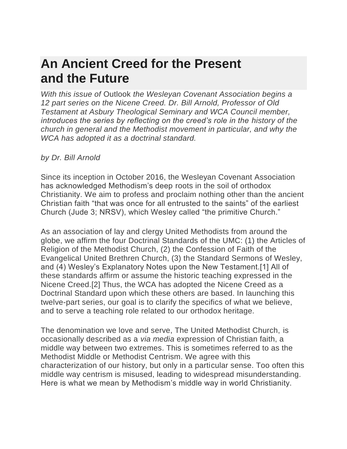#### **[An Ancient Creed for the Present](https://wesleyancovenant.org/2018/01/11/the-nicene-creed-pt-1/)  [and the Future](https://wesleyancovenant.org/2018/01/11/the-nicene-creed-pt-1/)**

*With this issue of* Outlook *the Wesleyan Covenant Association begins a 12 part series on the Nicene Creed. Dr. Bill Arnold, Professor of Old Testament at Asbury Theological Seminary and WCA Council member, introduces the series by reflecting on the creed's role in the history of the church in general and the Methodist movement in particular, and why the WCA has adopted it as a doctrinal standard.*

#### *by Dr. Bill Arnold*

Since its inception in October 2016, the Wesleyan Covenant Association has acknowledged Methodism's deep roots in the soil of orthodox Christianity. We aim to profess and proclaim nothing other than the ancient Christian faith "that was once for all entrusted to the saints" of the earliest Church (Jude 3; NRSV), which Wesley called "the primitive Church."

As an association of lay and clergy United Methodists from around the globe, we affirm the four Doctrinal Standards of the UMC: (1) the Articles of Religion of the Methodist Church, (2) the Confession of Faith of the Evangelical United Brethren Church, (3) the Standard Sermons of Wesley, and (4) Wesley's Explanatory Notes upon the New Testament.[1] All of these standards affirm or assume the historic teaching expressed in the Nicene Creed.[2] Thus, the WCA has adopted the Nicene Creed as a Doctrinal Standard upon which these others are based. In launching this twelve-part series, our goal is to clarify the specifics of what we believe, and to serve a teaching role related to our orthodox heritage.

The denomination we love and serve, The United Methodist Church, is occasionally described as a *via media* expression of Christian faith, a middle way between two extremes. This is sometimes referred to as the Methodist Middle or Methodist Centrism. We agree with this characterization of our history, but only in a particular sense. Too often this middle way centrism is misused, leading to widespread misunderstanding. Here is what we mean by Methodism's middle way in world Christianity.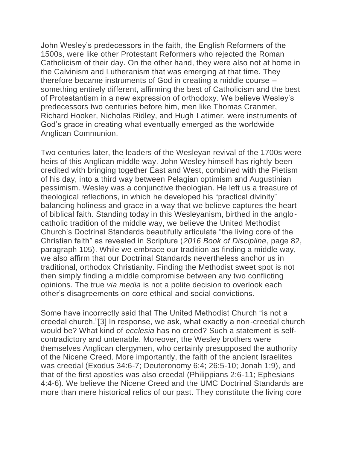John Wesley's predecessors in the faith, the English Reformers of the 1500s, were like other Protestant Reformers who rejected the Roman Catholicism of their day. On the other hand, they were also not at home in the Calvinism and Lutheranism that was emerging at that time. They therefore became instruments of God in creating a middle course – something entirely different, affirming the best of Catholicism and the best of Protestantism in a new expression of orthodoxy. We believe Wesley's predecessors two centuries before him, men like Thomas Cranmer, Richard Hooker, Nicholas Ridley, and Hugh Latimer, were instruments of God's grace in creating what eventually emerged as the worldwide Anglican Communion.

Two centuries later, the leaders of the Wesleyan revival of the 1700s were heirs of this Anglican middle way. John Wesley himself has rightly been credited with bringing together East and West, combined with the Pietism of his day, into a third way between Pelagian optimism and Augustinian pessimism. Wesley was a conjunctive theologian. He left us a treasure of theological reflections, in which he developed his "practical divinity" balancing holiness and grace in a way that we believe captures the heart of biblical faith. Standing today in this Wesleyanism, birthed in the anglocatholic tradition of the middle way, we believe the United Methodist Church's Doctrinal Standards beautifully articulate "the living core of the Christian faith" as revealed in Scripture (*2016 Book of Discipline*, page 82, paragraph 105). While we embrace our tradition as finding a middle way, we also affirm that our Doctrinal Standards nevertheless anchor us in traditional, orthodox Christianity. Finding the Methodist sweet spot is not then simply finding a middle compromise between any two conflicting opinions. The true *via media* is not a polite decision to overlook each other's disagreements on core ethical and social convictions.

Some have incorrectly said that The United Methodist Church "is not a creedal church."[3] In response, we ask, what exactly a non-creedal church would be? What kind of *ecclesia* has no creed? Such a statement is selfcontradictory and untenable. Moreover, the Wesley brothers were themselves Anglican clergymen, who certainly presupposed the authority of the Nicene Creed. More importantly, the faith of the ancient Israelites was creedal (Exodus 34:6-7; Deuteronomy 6:4; 26:5-10; Jonah 1:9), and that of the first apostles was also creedal (Philippians 2:6-11; Ephesians 4:4-6). We believe the Nicene Creed and the UMC Doctrinal Standards are more than mere historical relics of our past. They constitute the living core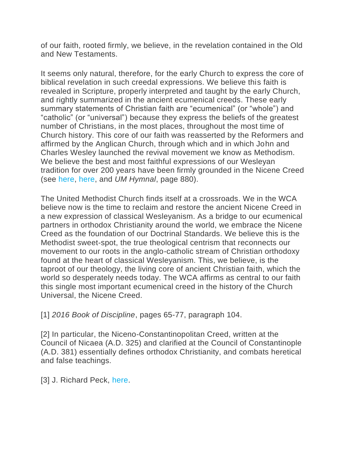of our faith, rooted firmly, we believe, in the revelation contained in the Old and New Testaments.

It seems only natural, therefore, for the early Church to express the core of biblical revelation in such creedal expressions. We believe this faith is revealed in Scripture, properly interpreted and taught by the early Church, and rightly summarized in the ancient ecumenical creeds. These early summary statements of Christian faith are "ecumenical" (or "whole") and "catholic" (or "universal") because they express the beliefs of the greatest number of Christians, in the most places, throughout the most time of Church history. This core of our faith was reasserted by the Reformers and affirmed by the Anglican Church, through which and in which John and Charles Wesley launched the revival movement we know as Methodism. We believe the best and most faithful expressions of our Wesleyan tradition for over 200 years have been firmly grounded in the Nicene Creed (see [here,](https://hymnary.org/hymn/UMH/page/880) [here,](http://anglicansonline.org/basics/nicene.html) and *UM Hymnal*, page 880).

The United Methodist Church finds itself at a crossroads. We in the WCA believe now is the time to reclaim and restore the ancient Nicene Creed in a new expression of classical Wesleyanism. As a bridge to our ecumenical partners in orthodox Christianity around the world, we embrace the Nicene Creed as the foundation of our Doctrinal Standards. We believe this is the Methodist sweet-spot, the true theological centrism that reconnects our movement to our roots in the anglo-catholic stream of Christian orthodoxy found at the heart of classical Wesleyanism. This, we believe, is the taproot of our theology, the living core of ancient Christian faith, which the world so desperately needs today. The WCA affirms as central to our faith this single most important ecumenical creed in the history of the Church Universal, the Nicene Creed.

[1] *2016 Book of Discipline*, pages 65-77, paragraph 104.

[2] In particular, the Niceno-Constantinopolitan Creed, written at the Council of Nicaea (A.D. 325) and clarified at the Council of Constantinople (A.D. 381) essentially defines orthodox Christianity, and combats heretical and false teachings.

[3] J. Richard Peck, [here.](http://www.umc.org/what-we-believe/why-do-we-say-creeds)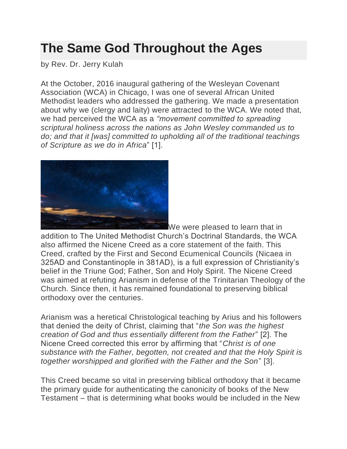### **[The Same God Throughout the Ages](https://wesleyancovenant.org/2018/01/18/the-same-god-throughout-the-ages/)**

by Rev. Dr. Jerry Kulah

At the October, 2016 inaugural gathering of the Wesleyan Covenant Association (WCA) in Chicago, I was one of several African United Methodist leaders who addressed the gathering. We made a presentation about why we (clergy and laity) were attracted to the WCA. We noted that, we had perceived the WCA as a *"movement committed to spreading scriptural holiness across the nations as John Wesley commanded us to do; and that it [was] committed to upholding all of the traditional teachings of Scripture as we do in Africa*" [1].



We were pleased to learn that in

addition to The United Methodist Church's Doctrinal Standards, the WCA also affirmed the Nicene Creed as a core statement of the faith. This Creed, crafted by the First and Second Ecumenical Councils (Nicaea in 325AD and Constantinople in 381AD), is a full expression of Christianity's belief in the Triune God; Father, Son and Holy Spirit. The Nicene Creed was aimed at refuting Arianism in defense of the Trinitarian Theology of the Church. Since then, it has remained foundational to preserving biblical orthodoxy over the centuries.

Arianism was a heretical Christological teaching by Arius and his followers that denied the deity of Christ, claiming that "*the Son was the highest creation of God and thus essentially different from the Father*" [2]. The Nicene Creed corrected this error by affirming that "*Christ is of one substance with the Father, begotten, not created and that the Holy Spirit is together worshipped and glorified with the Father and the Son*" [3].

This Creed became so vital in preserving biblical orthodoxy that it became the primary guide for authenticating the canonicity of books of the New Testament – that is determining what books would be included in the New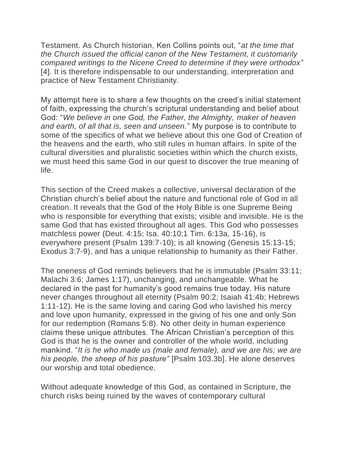Testament. As Church historian, Ken Collins points out, "*at the time that the Church issued the official canon of the New Testament, it customarily compared writings to the Nicene Creed to determine if they were orthodox*" [4]. It is therefore indispensable to our understanding, interpretation and practice of New Testament Christianity.

My attempt here is to share a few thoughts on the creed's initial statement of faith, expressing the church's scriptural understanding and belief about God: "*We believe in one God, the Father, the Almighty, maker of heaven and earth, of all that is, seen and unseen.*" My purpose is to contribute to some of the specifics of what we believe about this one God of Creation of the heavens and the earth, who still rules in human affairs. In spite of the cultural diversities and pluralistic societies within which the church exists, we must heed this same God in our quest to discover the true meaning of life.

This section of the Creed makes a collective, universal declaration of the Christian church's belief about the nature and functional role of God in all creation. It reveals that the God of the Holy Bible is one Supreme Being who is responsible for everything that exists; visible and invisible. He is the same God that has existed throughout all ages. This God who possesses matchless power (Deut. 4:15; Isa. 40:10;1 Tim. 6:13a, 15-16), is everywhere present (Psalm 139:7-10); is all knowing (Genesis 15:13-15; Exodus 3:7-9), and has a unique relationship to humanity as their Father.

The oneness of God reminds believers that he is immutable (Psalm 33:11; Malachi 3:6; James 1:17), unchanging, and unchangeable. What he declared in the past for humanity's good remains true today. His nature never changes throughout all eternity (Psalm 90:2; Isaiah 41:4b; Hebrews 1:11-12). He is the same loving and caring God who lavished his mercy and love upon humanity, expressed in the giving of his one and only Son for our redemption (Romans 5:8). No other deity in human experience claims these unique attributes. The African Christian's perception of this God is that he is the owner and controller of the whole world, including mankind. "*It is he who made us (male and female), and we are his; we are his people, the sheep of his pasture"* [Psalm 103.3b]. He alone deserves our worship and total obedience.

Without adequate knowledge of this God, as contained in Scripture, the church risks being ruined by the waves of contemporary cultural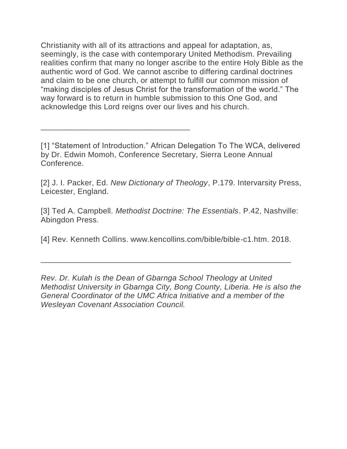Christianity with all of its attractions and appeal for adaptation, as, seemingly, is the case with contemporary United Methodism. Prevailing realities confirm that many no longer ascribe to the entire Holy Bible as the authentic word of God. We cannot ascribe to differing cardinal doctrines and claim to be one church, or attempt to fulfill our common mission of "making disciples of Jesus Christ for the transformation of the world." The way forward is to return in humble submission to this One God, and acknowledge this Lord reigns over our lives and his church.

[1] "Statement of Introduction." African Delegation To The WCA, delivered by Dr. Edwin Momoh, Conference Secretary, Sierra Leone Annual Conference.

\_\_\_\_\_\_\_\_\_\_\_\_\_\_\_\_\_\_\_\_\_\_\_\_\_\_\_\_\_\_\_\_\_\_

[2] J. I. Packer, Ed. *New Dictionary of Theology*, P.179. Intervarsity Press, Leicester, England.

[3] Ted A. Campbell. *Methodist Doctrine: The Essentials*. P.42, Nashville: Abingdon Press.

[4] Rev. Kenneth Collins. www.kencollins.com/bible/bible-c1.htm. 2018.

\_\_\_\_\_\_\_\_\_\_\_\_\_\_\_\_\_\_\_\_\_\_\_\_\_\_\_\_\_\_\_\_\_\_\_\_\_\_\_\_\_\_\_\_\_\_\_\_\_\_\_\_\_\_\_\_\_

*Rev. Dr. Kulah is the Dean of Gbarnga School Theology at United Methodist University in Gbarnga City, Bong County, Liberia. He is also the General Coordinator of the UMC Africa Initiative and a member of the Wesleyan Covenant Association Council.*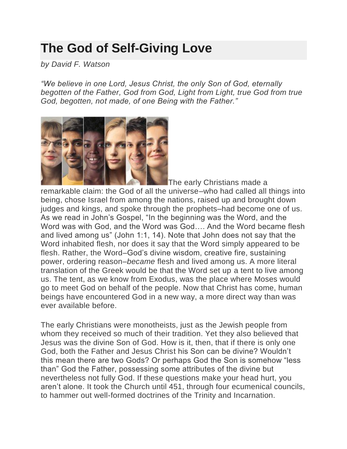## **[The God of Self-Giving Love](https://wesleyancovenant.org/2018/01/25/the-god-of-self-giving-love/)**

*by David F. Watson*

*"We believe in one Lord, Jesus Christ, the only Son of God, eternally begotten of the Father, God from God, Light from Light, true God from true God, begotten, not made, of one Being with the Father."*



The early Christians made a

remarkable claim: the God of all the universe–who had called all things into being, chose Israel from among the nations, raised up and brought down judges and kings, and spoke through the prophets–had become one of us. As we read in John's Gospel, "In the beginning was the Word, and the Word was with God, and the Word was God…. And the Word became flesh and lived among us" (John 1:1, 14). Note that John does not say that the Word inhabited flesh, nor does it say that the Word simply appeared to be flesh. Rather, the Word–God's divine wisdom, creative fire, sustaining power, ordering reason–*became* flesh and lived among us. A more literal translation of the Greek would be that the Word set up a tent to live among us. The tent, as we know from Exodus, was the place where Moses would go to meet God on behalf of the people. Now that Christ has come, human beings have encountered God in a new way, a more direct way than was ever available before.

The early Christians were monotheists, just as the Jewish people from whom they received so much of their tradition. Yet they also believed that Jesus was the divine Son of God. How is it, then, that if there is only one God, both the Father and Jesus Christ his Son can be divine? Wouldn't this mean there are two Gods? Or perhaps God the Son is somehow "less than" God the Father, possessing some attributes of the divine but nevertheless not fully God. If these questions make your head hurt, you aren't alone. It took the Church until 451, through four ecumenical councils, to hammer out well-formed doctrines of the Trinity and Incarnation.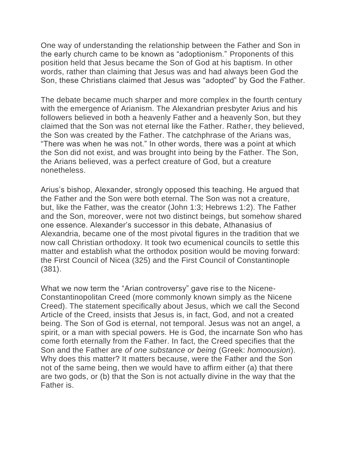One way of understanding the relationship between the Father and Son in the early church came to be known as "adoptionism." Proponents of this position held that Jesus became the Son of God at his baptism. In other words, rather than claiming that Jesus was and had always been God the Son, these Christians claimed that Jesus was "adopted" by God the Father.

The debate became much sharper and more complex in the fourth century with the emergence of Arianism. The Alexandrian presbyter Arius and his followers believed in both a heavenly Father and a heavenly Son, but they claimed that the Son was not eternal like the Father. Rather, they believed, the Son was created by the Father. The catchphrase of the Arians was, "There was when he was not." In other words, there was a point at which the Son did not exist, and was brought into being by the Father. The Son, the Arians believed, was a perfect creature of God, but a creature nonetheless.

Arius's bishop, Alexander, strongly opposed this teaching. He argued that the Father and the Son were both eternal. The Son was not a creature, but, like the Father, was the creator (John 1:3; Hebrews 1:2). The Father and the Son, moreover, were not two distinct beings, but somehow shared one essence. Alexander's successor in this debate, Athanasius of Alexandria, became one of the most pivotal figures in the tradition that we now call Christian orthodoxy. It took two ecumenical councils to settle this matter and establish what the orthodox position would be moving forward: the First Council of Nicea (325) and the First Council of Constantinople (381).

What we now term the "Arian controversy" gave rise to the Nicene-Constantinopolitan Creed (more commonly known simply as the Nicene Creed). The statement specifically about Jesus, which we call the Second Article of the Creed, insists that Jesus is, in fact, God, and not a created being. The Son of God is eternal, not temporal. Jesus was not an angel, a spirit, or a man with special powers. He is God, the incarnate Son who has come forth eternally from the Father. In fact, the Creed specifies that the Son and the Father are *of one substance or being* (Greek: *homoousion*). Why does this matter? It matters because, were the Father and the Son not of the same being, then we would have to affirm either (a) that there are two gods, or (b) that the Son is not actually divine in the way that the Father is.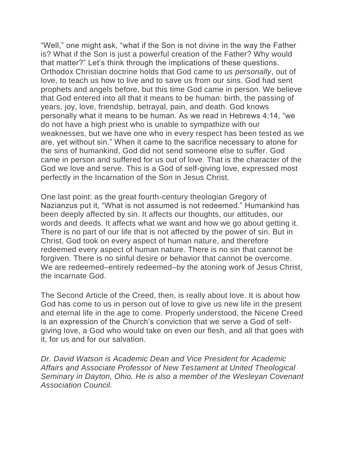"Well," one might ask, "what if the Son is not divine in the way the Father is? What if the Son is just a powerful creation of the Father? Why would that matter?" Let's think through the implications of these questions. Orthodox Christian doctrine holds that God came to us *personally*, out of love, to teach us how to live and to save us from our sins. God had sent prophets and angels before, but this time God came in person. We believe that God entered into all that it means to be human: birth, the passing of years, joy, love, friendship, betrayal, pain, and death. God knows personally what it means to be human. As we read in Hebrews 4:14, "we do not have a high priest who is unable to sympathize with our weaknesses, but we have one who in every respect has been tested as we are, yet without sin." When it came to the sacrifice necessary to atone for the sins of humankind, God did not send someone else to suffer. God came in person and suffered for us out of love. That is the character of the God we love and serve. This is a God of self-giving love, expressed most perfectly in the Incarnation of the Son in Jesus Christ.

One last point: as the great fourth-century theologian Gregory of Nazianzus put it, "What is not assumed is not redeemed." Humankind has been deeply affected by sin. It affects our thoughts, our attitudes, our words and deeds. It affects what we want and how we go about getting it. There is no part of our life that is not affected by the power of sin. But in Christ, God took on every aspect of human nature, and therefore redeemed every aspect of human nature. There is no sin that cannot be forgiven. There is no sinful desire or behavior that cannot be overcome. We are redeemed–entirely redeemed–by the atoning work of Jesus Christ, the incarnate God.

The Second Article of the Creed, then, is really about love. It is about how God has come to us in person out of love to give us new life in the present and eternal life in the age to come. Properly understood, the Nicene Creed is an expression of the Church's conviction that we serve a God of selfgiving love, a God who would take on even our flesh, and all that goes with it, for us and for our salvation.

*Dr. David Watson is Academic Dean and Vice President for Academic Affairs and Associate Professor of New Testament at United Theological Seminary in Dayton, Ohio. He is also a member of the Wesleyan Covenant Association Council.*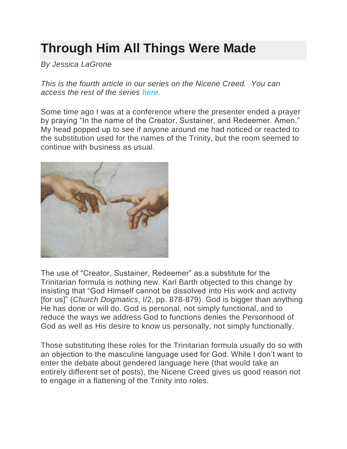# **Through [Him All Things Were Made](https://wesleyancovenant.org/2018/02/01/through-him-all-things-were-made/)**

*By Jessica LaGrone*

*This is the fourth article in our series on the Nicene Creed. You can access the rest of the series [here.](https://wesleyancovenant.org/nicene-creed-series/)*

Some time ago I was at a conference where the presenter ended a prayer by praying "In the name of the Creator, Sustainer, and Redeemer. Amen." My head popped up to see if anyone around me had noticed or reacted to the substitution used for the names of the Trinity, but the room seemed to continue with business as usual.



The use of "Creator, Sustainer, Redeemer" as a substitute for the Trinitarian formula is nothing new. Karl Barth objected to this change by insisting that "God Himself cannot be dissolved into His work and activity [for us]" (*Church Dogmatics*, I/2, pp. 878-879). God is bigger than anything He has done or will do. God is personal, not simply functional, and to reduce the ways we address God to functions denies the Personhood of God as well as His desire to know us personally, not simply functionally.

Those substituting these roles for the Trinitarian formula usually do so with an objection to the masculine language used for God. While I don't want to enter the debate about gendered language here (that would take an entirely different set of posts), the Nicene Creed gives us good reason not to engage in a flattening of the Trinity into roles.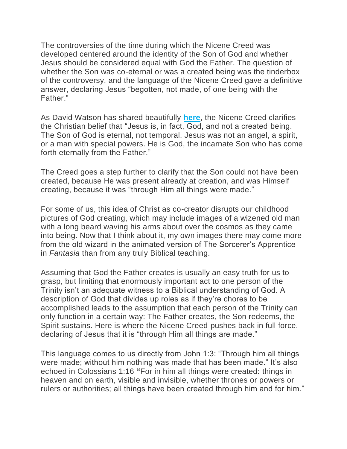The controversies of the time during which the Nicene Creed was developed centered around the identity of the Son of God and whether Jesus should be considered equal with God the Father. The question of whether the Son was co-eternal or was a created being was the tinderbox of the controversy, and the language of the Nicene Creed gave a definitive answer, declaring Jesus "begotten, not made, of one being with the Father."

As David Watson has shared beautifully **[here](https://wesleyancovenant.org/2018/01/25/the-god-of-self-giving-love/)**, the Nicene Creed clarifies the Christian belief that "Jesus is, in fact, God, and not a created being. The Son of God is eternal, not temporal. Jesus was not an angel, a spirit, or a man with special powers. He is God, the incarnate Son who has come forth eternally from the Father."

The Creed goes a step further to clarify that the Son could not have been created, because He was present already at creation, and was Himself creating, because it was "through Him all things were made."

For some of us, this idea of Christ as co-creator disrupts our childhood pictures of God creating, which may include images of a wizened old man with a long beard waving his arms about over the cosmos as they came into being. Now that I think about it, my own images there may come more from the old wizard in the animated version of The Sorcerer's Apprentice in *Fantasia* than from any truly Biblical teaching.

Assuming that God the Father creates is usually an easy truth for us to grasp, but limiting that enormously important act to one person of the Trinity isn't an adequate witness to a Biblical understanding of God. A description of God that divides up roles as if they're chores to be accomplished leads to the assumption that each person of the Trinity can only function in a certain way: The Father creates, the Son redeems, the Spirit sustains. Here is where the Nicene Creed pushes back in full force, declaring of Jesus that it is "through Him all things are made."

This language comes to us directly from John 1:3: "Through him all things were made; without him nothing was made that has been made." It's also echoed in Colossians 1:16 **"**For in him all things were created: things in heaven and on earth, visible and invisible, whether thrones or powers or rulers or authorities; all things have been created through him and for him."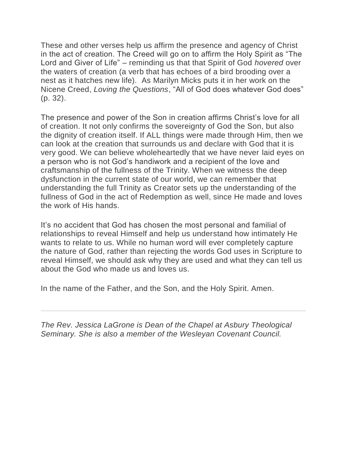These and other verses help us affirm the presence and agency of Christ in the act of creation. The Creed will go on to affirm the Holy Spirit as "The Lord and Giver of Life" – reminding us that that Spirit of God *hovered* over the waters of creation (a verb that has echoes of a bird brooding over a nest as it hatches new life). As Marilyn Micks puts it in her work on the Nicene Creed, *Loving the Questions*, "All of God does whatever God does" (p. 32).

The presence and power of the Son in creation affirms Christ's love for all of creation. It not only confirms the sovereignty of God the Son, but also the dignity of creation itself. If ALL things were made through Him, then we can look at the creation that surrounds us and declare with God that it is very good. We can believe wholeheartedly that we have never laid eyes on a person who is not God's handiwork and a recipient of the love and craftsmanship of the fullness of the Trinity. When we witness the deep dysfunction in the current state of our world, we can remember that understanding the full Trinity as Creator sets up the understanding of the fullness of God in the act of Redemption as well, since He made and loves the work of His hands.

It's no accident that God has chosen the most personal and familial of relationships to reveal Himself and help us understand how intimately He wants to relate to us. While no human word will ever completely capture the nature of God, rather than rejecting the words God uses in Scripture to reveal Himself, we should ask why they are used and what they can tell us about the God who made us and loves us.

In the name of the Father, and the Son, and the Holy Spirit. Amen.

*The Rev. Jessica LaGrone is Dean of the Chapel at Asbury Theological Seminary. She is also a member of the Wesleyan Covenant Council.*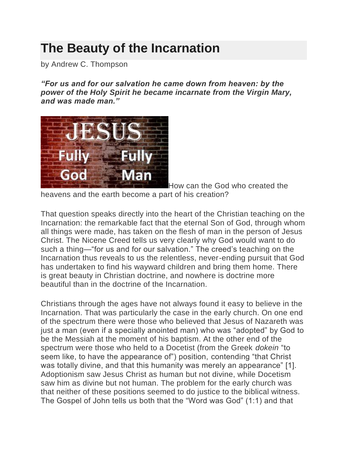#### **[The Beauty of the Incarnation](https://wesleyancovenant.org/2018/02/07/the-beauty-of-the-incarnation/)**

by Andrew C. Thompson

*"For us and for our salvation he came down from heaven: by the power of the Holy Spirit he became incarnate from the Virgin Mary, and was made man."*



How can the God who created the heavens and the earth become a part of his creation?

That question speaks directly into the heart of the Christian teaching on the Incarnation: the remarkable fact that the eternal Son of God, through whom all things were made, has taken on the flesh of man in the person of Jesus Christ. The Nicene Creed tells us very clearly why God would want to do such a thing—"for us and for our salvation." The creed's teaching on the Incarnation thus reveals to us the relentless, never-ending pursuit that God has undertaken to find his wayward children and bring them home. There is great beauty in Christian doctrine, and nowhere is doctrine more beautiful than in the doctrine of the Incarnation.

Christians through the ages have not always found it easy to believe in the Incarnation. That was particularly the case in the early church. On one end of the spectrum there were those who believed that Jesus of Nazareth was just a man (even if a specially anointed man) who was "adopted" by God to be the Messiah at the moment of his baptism. At the other end of the spectrum were those who held to a Docetist (from the Greek *dokein* "to seem like, to have the appearance of") position, contending "that Christ was totally divine, and that this humanity was merely an appearance" [1]. Adoptionism saw Jesus Christ as human but not divine, while Docetism saw him as divine but not human. The problem for the early church was that neither of these positions seemed to do justice to the biblical witness. The Gospel of John tells us both that the "Word was God" (1:1) and that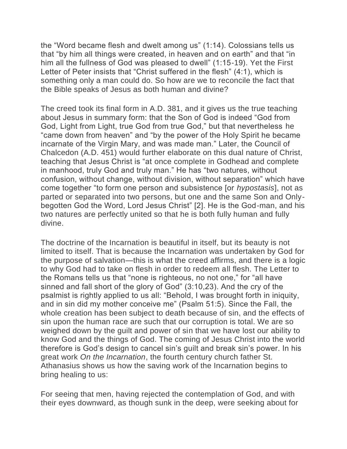the "Word became flesh and dwelt among us" (1:14). Colossians tells us that "by him all things were created, in heaven and on earth" and that "in him all the fullness of God was pleased to dwell" (1:15-19). Yet the First Letter of Peter insists that "Christ suffered in the flesh" (4:1), which is something only a man could do. So how are we to reconcile the fact that the Bible speaks of Jesus as both human and divine?

The creed took its final form in A.D. 381, and it gives us the true teaching about Jesus in summary form: that the Son of God is indeed "God from God, Light from Light, true God from true God," but that nevertheless he "came down from heaven" and "by the power of the Holy Spirit he became incarnate of the Virgin Mary, and was made man." Later, the Council of Chalcedon (A.D. 451) would further elaborate on this dual nature of Christ, teaching that Jesus Christ is "at once complete in Godhead and complete in manhood, truly God and truly man." He has "two natures, without confusion, without change, without division, without separation" which have come together "to form one person and subsistence [or *hypostasis*], not as parted or separated into two persons, but one and the same Son and Onlybegotten God the Word, Lord Jesus Christ" [2]. He is the God-man, and his two natures are perfectly united so that he is both fully human and fully divine.

The doctrine of the Incarnation is beautiful in itself, but its beauty is not limited to itself. That is because the Incarnation was undertaken by God for the purpose of salvation—this is what the creed affirms, and there is a logic to why God had to take on flesh in order to redeem all flesh. The Letter to the Romans tells us that "none is righteous, no not one," for "all have sinned and fall short of the glory of God" (3:10,23). And the cry of the psalmist is rightly applied to us all: "Behold, I was brought forth in iniquity, and in sin did my mother conceive me" (Psalm 51:5). Since the Fall, the whole creation has been subject to death because of sin, and the effects of sin upon the human race are such that our corruption is total. We are so weighed down by the guilt and power of sin that we have lost our ability to know God and the things of God. The coming of Jesus Christ into the world therefore is God's design to cancel sin's guilt and break sin's power. In his great work *On the Incarnation*, the fourth century church father St. Athanasius shows us how the saving work of the Incarnation begins to bring healing to us:

For seeing that men, having rejected the contemplation of God, and with their eyes downward, as though sunk in the deep, were seeking about for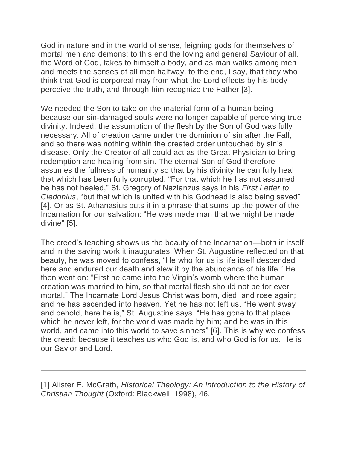God in nature and in the world of sense, feigning gods for themselves of mortal men and demons; to this end the loving and general Saviour of all, the Word of God, takes to himself a body, and as man walks among men and meets the senses of all men halfway, to the end, I say, that they who think that God is corporeal may from what the Lord effects by his body perceive the truth, and through him recognize the Father [3].

We needed the Son to take on the material form of a human being because our sin-damaged souls were no longer capable of perceiving true divinity. Indeed, the assumption of the flesh by the Son of God was fully necessary. All of creation came under the dominion of sin after the Fall, and so there was nothing within the created order untouched by sin's disease. Only the Creator of all could act as the Great Physician to bring redemption and healing from sin. The eternal Son of God therefore assumes the fullness of humanity so that by his divinity he can fully heal that which has been fully corrupted. "For that which he has not assumed he has not healed," St. Gregory of Nazianzus says in his *First Letter to Cledonius*, "but that which is united with his Godhead is also being saved" [4]. Or as St. Athanasius puts it in a phrase that sums up the power of the Incarnation for our salvation: "He was made man that we might be made divine" [5].

The creed's teaching shows us the beauty of the Incarnation—both in itself and in the saving work it inaugurates. When St. Augustine reflected on that beauty, he was moved to confess, "He who for us is life itself descended here and endured our death and slew it by the abundance of his life." He then went on: "First he came into the Virgin's womb where the human creation was married to him, so that mortal flesh should not be for ever mortal." The Incarnate Lord Jesus Christ was born, died, and rose again; and he has ascended into heaven. Yet he has not left us. "He went away and behold, here he is," St. Augustine says. "He has gone to that place which he never left, for the world was made by him; and he was in this world, and came into this world to save sinners" [6]. This is why we confess the creed: because it teaches us who God is, and who God is for us. He is our Savior and Lord.

[1] Alister E. McGrath, *Historical Theology: An Introduction to the History of Christian Thought* (Oxford: Blackwell, 1998), 46.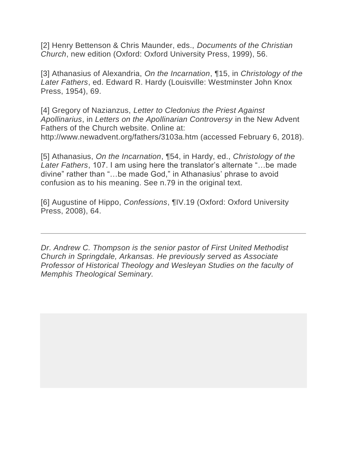[2] Henry Bettenson & Chris Maunder, eds., *Documents of the Christian Church*, new edition (Oxford: Oxford University Press, 1999), 56.

[3] Athanasius of Alexandria, *On the Incarnation*, ¶15, in *Christology of the Later Fathers*, ed. Edward R. Hardy (Louisville: Westminster John Knox Press, 1954), 69.

[4] Gregory of Nazianzus, *Letter to Cledonius the Priest Against Apollinarius*, in *Letters on the Apollinarian Controversy* in the New Advent Fathers of the Church website. Online at: http://www.newadvent.org/fathers/3103a.htm (accessed February 6, 2018).

[5] Athanasius, *On the Incarnation*, ¶54, in Hardy, ed., *Christology of the Later Fathers*, 107. I am using here the translator's alternate "…be made divine" rather than "…be made God," in Athanasius' phrase to avoid confusion as to his meaning. See n.79 in the original text.

[6] Augustine of Hippo, *Confessions*, ¶IV.19 (Oxford: Oxford University Press, 2008), 64.

*Dr. Andrew C. Thompson is the senior pastor of First United Methodist Church in Springdale, Arkansas. He previously served as Associate Professor of Historical Theology and Wesleyan Studies on the faculty of Memphis Theological Seminary.*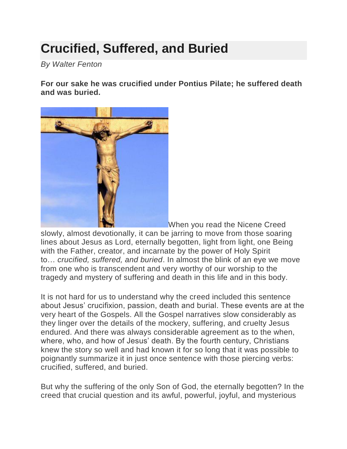# **[Crucified, Suffered, and Buried](https://wesleyancovenant.org/2018/02/16/crucified-suffered-and-buried/)**

*By Walter Fenton*

**For our sake he was crucified under Pontius Pilate; he suffered death and was buried.**



When you read the Nicene Creed

slowly, almost devotionally, it can be jarring to move from those soaring lines about Jesus as Lord, eternally begotten, light from light, one Being with the Father, creator, and incarnate by the power of Holy Spirit to… *crucified, suffered, and buried*. In almost the blink of an eye we move from one who is transcendent and very worthy of our worship to the tragedy and mystery of suffering and death in this life and in this body.

It is not hard for us to understand why the creed included this sentence about Jesus' crucifixion, passion, death and burial. These events are at the very heart of the Gospels. All the Gospel narratives slow considerably as they linger over the details of the mockery, suffering, and cruelty Jesus endured. And there was always considerable agreement as to the when, where, who, and how of Jesus' death. By the fourth century, Christians knew the story so well and had known it for so long that it was possible to poignantly summarize it in just once sentence with those piercing verbs: crucified, suffered, and buried.

But why the suffering of the only Son of God, the eternally begotten? In the creed that crucial question and its awful, powerful, joyful, and mysterious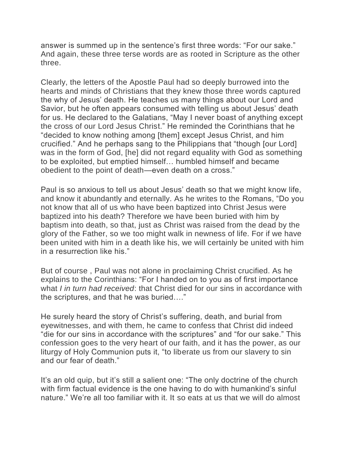answer is summed up in the sentence's first three words: "For our sake." And again, these three terse words are as rooted in Scripture as the other three.

Clearly, the letters of the Apostle Paul had so deeply burrowed into the hearts and minds of Christians that they knew those three words captured the why of Jesus' death. He teaches us many things about our Lord and Savior, but he often appears consumed with telling us about Jesus' death for us. He declared to the Galatians, "May I never boast of anything except the cross of our Lord Jesus Christ." He reminded the Corinthians that he "decided to know nothing among [them] except Jesus Christ, and him crucified." And he perhaps sang to the Philippians that "though [our Lord] was in the form of God, [he] did not regard equality with God as something to be exploited, but emptied himself… humbled himself and became obedient to the point of death—even death on a cross."

Paul is so anxious to tell us about Jesus' death so that we might know life, and know it abundantly and eternally. As he writes to the Romans, "Do you not know that all of us who have been baptized into Christ Jesus were baptized into his death? Therefore we have been buried with him by baptism into death, so that, just as Christ was raised from the dead by the glory of the Father, so we too might walk in newness of life. For if we have been united with him in a death like his, we will certainly be united with him in a resurrection like his."

But of course , Paul was not alone in proclaiming Christ crucified. As he explains to the Corinthians: "For I handed on to you as of first importance what *I in turn had received*: that Christ died for our sins in accordance with the scriptures, and that he was buried…."

He surely heard the story of Christ's suffering, death, and burial from eyewitnesses, and with them, he came to confess that Christ did indeed "die for our sins in accordance with the scriptures" and "for our sake." This confession goes to the very heart of our faith, and it has the power, as our liturgy of Holy Communion puts it, "to liberate us from our slavery to sin and our fear of death."

It's an old quip, but it's still a salient one: "The only doctrine of the church with firm factual evidence is the one having to do with humankind's sinful nature." We're all too familiar with it. It so eats at us that we will do almost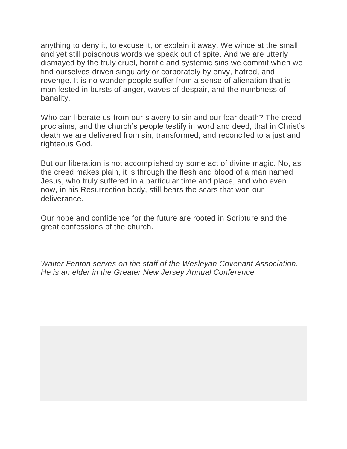anything to deny it, to excuse it, or explain it away. We wince at the small, and yet still poisonous words we speak out of spite. And we are utterly dismayed by the truly cruel, horrific and systemic sins we commit when we find ourselves driven singularly or corporately by envy, hatred, and revenge. It is no wonder people suffer from a sense of alienation that is manifested in bursts of anger, waves of despair, and the numbness of banality.

Who can liberate us from our slavery to sin and our fear death? The creed proclaims, and the church's people testify in word and deed, that in Christ's death we are delivered from sin, transformed, and reconciled to a just and righteous God.

But our liberation is not accomplished by some act of divine magic. No, as the creed makes plain, it is through the flesh and blood of a man named Jesus, who truly suffered in a particular time and place, and who even now, in his Resurrection body, still bears the scars that won our deliverance.

Our hope and confidence for the future are rooted in Scripture and the great confessions of the church.

*Walter Fenton serves on the staff of the Wesleyan Covenant Association. He is an elder in the Greater New Jersey Annual Conference.*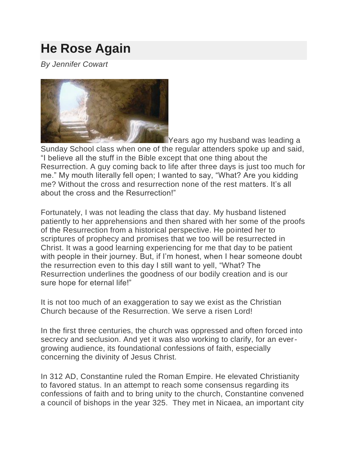### **[He Rose Again](https://wesleyancovenant.org/2018/02/22/he-rose-again/)**

*By Jennifer Cowart*



Years ago my husband was leading a Sunday School class when one of the regular attenders spoke up and said, "I believe all the stuff in the Bible except that one thing about the Resurrection. A guy coming back to life after three days is just too much for me." My mouth literally fell open; I wanted to say, "What? Are you kidding me? Without the cross and resurrection none of the rest matters. It's all about the cross and the Resurrection!"

Fortunately, I was not leading the class that day. My husband listened patiently to her apprehensions and then shared with her some of the proofs of the Resurrection from a historical perspective. He pointed her to scriptures of prophecy and promises that we too will be resurrected in Christ. It was a good learning experiencing for me that day to be patient with people in their journey. But, if I'm honest, when I hear someone doubt the resurrection even to this day I still want to yell, "What? The Resurrection underlines the goodness of our bodily creation and is our sure hope for eternal life!"

It is not too much of an exaggeration to say we exist as the Christian Church because of the Resurrection. We serve a risen Lord!

In the first three centuries, the church was oppressed and often forced into secrecy and seclusion. And yet it was also working to clarify, for an evergrowing audience, its foundational confessions of faith, especially concerning the divinity of Jesus Christ.

In 312 AD, Constantine ruled the Roman Empire. He elevated Christianity to favored status. In an attempt to reach some consensus regarding its confessions of faith and to bring unity to the church, Constantine convened a council of bishops in the year 325. They met in Nicaea, an important city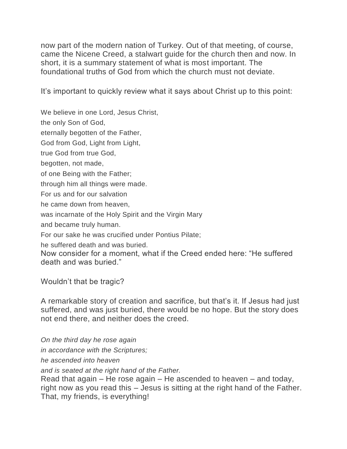now part of the modern nation of Turkey. Out of that meeting, of course, came the Nicene Creed, a stalwart guide for the church then and now. In short, it is a summary statement of what is most important. The foundational truths of God from which the church must not deviate.

It's important to quickly review what it says about Christ up to this point:

We believe in one Lord, Jesus Christ,

the only Son of God,

eternally begotten of the Father,

God from God, Light from Light,

true God from true God,

begotten, not made,

of one Being with the Father;

through him all things were made.

For us and for our salvation

he came down from heaven,

was incarnate of the Holy Spirit and the Virgin Mary

and became truly human.

For our sake he was crucified under Pontius Pilate;

he suffered death and was buried.

Now consider for a moment, what if the Creed ended here: "He suffered death and was buried."

Wouldn't that be tragic?

A remarkable story of creation and sacrifice, but that's it. If Jesus had just suffered, and was just buried, there would be no hope. But the story does not end there, and neither does the creed.

*On the third day he rose again in accordance with the Scriptures;*

*he ascended into heaven*

*and is seated at the right hand of the Father.*

Read that again – He rose again – He ascended to heaven – and today, right now as you read this – Jesus is sitting at the right hand of the Father. That, my friends, is everything!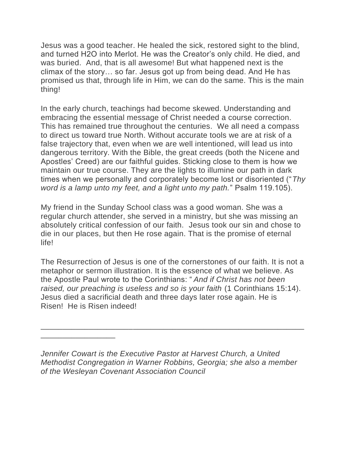Jesus was a good teacher. He healed the sick, restored sight to the blind, and turned H2O into Merlot. He was the Creator's only child. He died, and was buried. And, that is all awesome! But what happened next is the climax of the story… so far. Jesus got up from being dead. And He has promised us that, through life in Him, we can do the same. This is the main thing!

In the early church, teachings had become skewed. Understanding and embracing the essential message of Christ needed a course correction. This has remained true throughout the centuries. We all need a compass to direct us toward true North. Without accurate tools we are at risk of a false trajectory that, even when we are well intentioned, will lead us into dangerous territory. With the Bible, the great creeds (both the Nicene and Apostles' Creed) are our faithful guides. Sticking close to them is how we maintain our true course. They are the lights to illumine our path in dark times when we personally and corporately become lost or disoriented ("*Thy word is a lamp unto my feet, and a light unto my path.*" Psalm 119.105).

My friend in the Sunday School class was a good woman. She was a regular church attender, she served in a ministry, but she was missing an absolutely critical confession of our faith. Jesus took our sin and chose to die in our places, but then He rose again. That is the promise of eternal life!

The Resurrection of Jesus is one of the cornerstones of our faith. It is not a metaphor or sermon illustration. It is the essence of what we believe. As the Apostle Paul wrote to the Corinthians: " *And if Christ has not been raised, our preaching is useless and so is your faith* (1 Corinthians 15:14). Jesus died a sacrificial death and three days later rose again. He is Risen! He is Risen indeed!

\_\_\_\_\_\_\_\_\_\_\_\_\_\_\_\_\_\_\_\_\_\_\_\_\_\_\_\_\_\_\_\_\_\_\_\_\_\_\_\_\_\_\_\_\_\_\_\_\_\_\_\_\_\_\_\_\_\_\_\_

\_\_\_\_\_\_\_\_\_\_\_\_\_\_\_\_\_

*Jennifer Cowart is the Executive Pastor at Harvest Church, a United Methodist Congregation in Warner Robbins, Georgia; she also a member of the Wesleyan Covenant Association Council*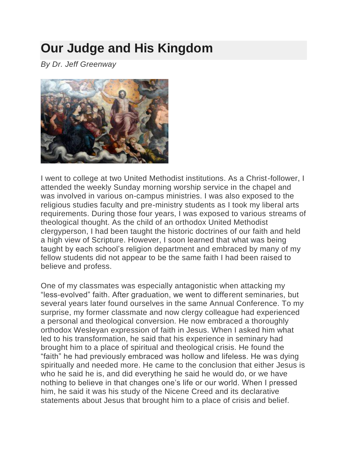# **[Our Judge and His Kingdom](https://wesleyancovenant.org/2018/03/01/the-judge-and-his-kingdom/)**

*By Dr. Jeff Greenway*



I went to college at two United Methodist institutions. As a Christ-follower, I attended the weekly Sunday morning worship service in the chapel and was involved in various on-campus ministries. I was also exposed to the religious studies faculty and pre-ministry students as I took my liberal arts requirements. During those four years, I was exposed to various streams of theological thought. As the child of an orthodox United Methodist clergyperson, I had been taught the historic doctrines of our faith and held a high view of Scripture. However, I soon learned that what was being taught by each school's religion department and embraced by many of my fellow students did not appear to be the same faith I had been raised to believe and profess.

One of my classmates was especially antagonistic when attacking my "less-evolved" faith. After graduation, we went to different seminaries, but several years later found ourselves in the same Annual Conference. To my surprise, my former classmate and now clergy colleague had experienced a personal and theological conversion. He now embraced a thoroughly orthodox Wesleyan expression of faith in Jesus. When I asked him what led to his transformation, he said that his experience in seminary had brought him to a place of spiritual and theological crisis. He found the "faith" he had previously embraced was hollow and lifeless. He was dying spiritually and needed more. He came to the conclusion that either Jesus is who he said he is, and did everything he said he would do, or we have nothing to believe in that changes one's life or our world. When I pressed him, he said it was his study of the Nicene Creed and its declarative statements about Jesus that brought him to a place of crisis and belief.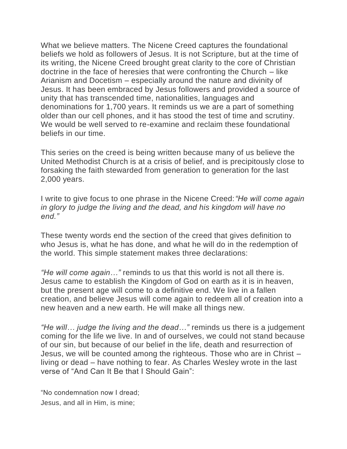What we believe matters. The Nicene Creed captures the foundational beliefs we hold as followers of Jesus. It is not Scripture, but at the time of its writing, the Nicene Creed brought great clarity to the core of Christian doctrine in the face of heresies that were confronting the Church – like Arianism and Docetism – especially around the nature and divinity of Jesus. It has been embraced by Jesus followers and provided a source of unity that has transcended time, nationalities, languages and denominations for 1,700 years. It reminds us we are a part of something older than our cell phones, and it has stood the test of time and scrutiny. We would be well served to re-examine and reclaim these foundational beliefs in our time.

This series on the creed is being written because many of us believe the United Methodist Church is at a crisis of belief, and is precipitously close to forsaking the faith stewarded from generation to generation for the last 2,000 years.

I write to give focus to one phrase in the Nicene Creed:*"He will come again in glory to judge the living and the dead, and his kingdom will have no end."*

These twenty words end the section of the creed that gives definition to who Jesus is, what he has done, and what he will do in the redemption of the world. This simple statement makes three declarations:

*"He will come again…"* reminds to us that this world is not all there is. Jesus came to establish the Kingdom of God on earth as it is in heaven, but the present age will come to a definitive end. We live in a fallen creation, and believe Jesus will come again to redeem all of creation into a new heaven and a new earth. He will make all things new.

*"He will… judge the living and the dead…"* reminds us there is a judgement coming for the life we live. In and of ourselves, we could not stand because of our sin, but because of our belief in the life, death and resurrection of Jesus, we will be counted among the righteous. Those who are in Christ – living or dead – have nothing to fear. As Charles Wesley wrote in the last verse of "And Can It Be that I Should Gain":

"No condemnation now I dread; Jesus, and all in Him, is mine;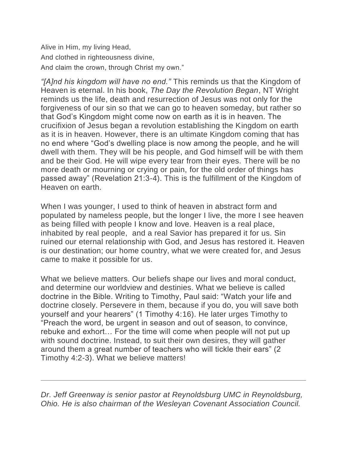Alive in Him, my living Head, And clothed in righteousness divine, And claim the crown, through Christ my own."

*"[A]nd his kingdom will have no end."* This reminds us that the Kingdom of Heaven is eternal. In his book, *The Day the Revolution Began*, NT Wright reminds us the life, death and resurrection of Jesus was not only for the forgiveness of our sin so that we can go to heaven someday, but rather so that God's Kingdom might come now on earth as it is in heaven. The crucifixion of Jesus began a revolution establishing the Kingdom on earth as it is in heaven. However, there is an ultimate Kingdom coming that has no end where "God's dwelling place is now among the people, and he will dwell with them. They will be his people, and God himself will be with them and be their God. He will wipe every tear from their eyes. There will be no more death or mourning or crying or pain, for the old order of things has passed away" (Revelation 21:3-4). This is the fulfillment of the Kingdom of Heaven on earth.

When I was younger, I used to think of heaven in abstract form and populated by nameless people, but the longer I live, the more I see heaven as being filled with people I know and love. Heaven is a real place, inhabited by real people, and a real Savior has prepared it for us. Sin ruined our eternal relationship with God, and Jesus has restored it. Heaven is our destination; our home country, what we were created for, and Jesus came to make it possible for us.

What we believe matters. Our beliefs shape our lives and moral conduct, and determine our worldview and destinies. What we believe is called doctrine in the Bible. Writing to Timothy, Paul said: "Watch your life and doctrine closely. Persevere in them, because if you do, you will save both yourself and your hearers" (1 Timothy 4:16). He later urges Timothy to "Preach the word, be urgent in season and out of season, to convince, rebuke and exhort… For the time will come when people will not put up with sound doctrine. Instead, to suit their own desires, they will gather around them a great number of teachers who will tickle their ears" (2 Timothy 4:2-3). What we believe matters!

*Dr. Jeff Greenway is senior pastor at Reynoldsburg UMC in Reynoldsburg, Ohio. He is also chairman of the Wesleyan Covenant Association Council.*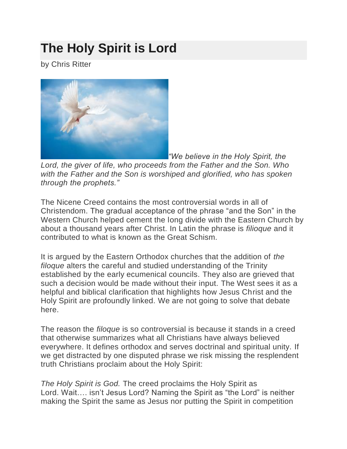# **[The Holy Spirit is Lord](https://wesleyancovenant.org/2018/03/08/the-holy-spirit-is-lord/)**

by Chris Ritter



*"We believe in the Holy Spirit, the* 

*Lord, the giver of life, who proceeds from the Father and the Son. Who with the Father and the Son is worshiped and glorified, who has spoken through the prophets."*

The Nicene Creed contains the most controversial words in all of Christendom. The gradual acceptance of the phrase "and the Son" in the Western Church helped cement the long divide with the Eastern Church by about a thousand years after Christ. In Latin the phrase is *filioque* and it contributed to what is known as the Great Schism.

It is argued by the Eastern Orthodox churches that the addition of *the filoque* alters the careful and studied understanding of the Trinity established by the early ecumenical councils. They also are grieved that such a decision would be made without their input. The West sees it as a helpful and biblical clarification that highlights how Jesus Christ and the Holy Spirit are profoundly linked. We are not going to solve that debate here.

The reason the *filoque* is so controversial is because it stands in a creed that otherwise summarizes what all Christians have always believed everywhere. It defines orthodox and serves doctrinal and spiritual unity. If we get distracted by one disputed phrase we risk missing the resplendent truth Christians proclaim about the Holy Spirit:

*The Holy Spirit is God.* The creed proclaims the Holy Spirit as Lord. Wait…. isn't Jesus Lord? Naming the Spirit as "the Lord" is neither making the Spirit the same as Jesus nor putting the Spirit in competition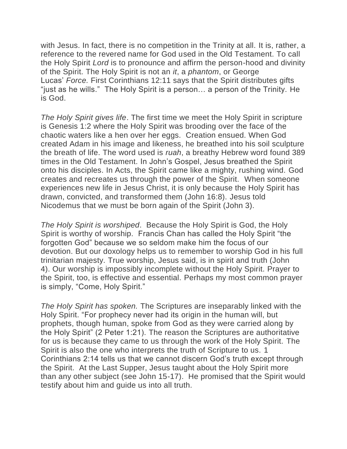with Jesus. In fact, there is no competition in the Trinity at all. It is, rather, a reference to the revered name for God used in the Old Testament. To call the Holy Spirit *Lord* is to pronounce and affirm the person-hood and divinity of the Spirit. The Holy Spirit is not an *it*, a *phantom*, or George Lucas' *Force.* First Corinthians 12:11 says that the Spirit distributes gifts "just as he wills." The Holy Spirit is a person… a person of the Trinity. He is God.

*The Holy Spirit gives life*. The first time we meet the Holy Spirit in scripture is Genesis 1:2 where the Holy Spirit was brooding over the face of the chaotic waters like a hen over her eggs. Creation ensued. When God created Adam in his image and likeness, he breathed into his soil sculpture the breath of life. The word used is *ruah*, a breathy Hebrew word found 389 times in the Old Testament. In John's Gospel, Jesus breathed the Spirit onto his disciples. In Acts, the Spirit came like a mighty, rushing wind. God creates and recreates us through the power of the Spirit. When someone experiences new life in Jesus Christ, it is only because the Holy Spirit has drawn, convicted, and transformed them (John 16:8). Jesus told Nicodemus that we must be born again of the Spirit (John 3).

*The Holy Spirit is worshiped*. Because the Holy Spirit is God, the Holy Spirit is worthy of worship. Francis Chan has called the Holy Spirit "the forgotten God" because we so seldom make him the focus of our devotion. But our doxology helps us to remember to worship God in his full trinitarian majesty. True worship, Jesus said, is in spirit and truth (John 4). Our worship is impossibly incomplete without the Holy Spirit. Prayer to the Spirit, too, is effective and essential. Perhaps my most common prayer is simply, "Come, Holy Spirit."

*The Holy Spirit has spoken.* The Scriptures are inseparably linked with the Holy Spirit. "For prophecy never had its origin in the human will, but prophets, though human, spoke from God as they were carried along by the Holy Spirit" (2 Peter 1:21). The reason the Scriptures are authoritative for us is because they came to us through the work of the Holy Spirit. The Spirit is also the one who interprets the truth of Scripture to us. 1 Corinthians 2:14 tells us that we cannot discern God's truth except through the Spirit. At the Last Supper, Jesus taught about the Holy Spirit more than any other subject (see John 15-17). He promised that the Spirit would testify about him and guide us into all truth.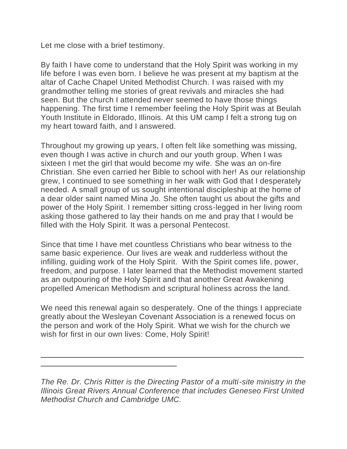Let me close with a brief testimony.

 $\overline{a}$  $\overline{a}$ 

By faith I have come to understand that the Holy Spirit was working in my life before I was even born. I believe he was present at my baptism at the altar of Cache Chapel United Methodist Church. I was raised with my grandmother telling me stories of great revivals and miracles she had seen. But the church I attended never seemed to have those things happening. The first time I remember feeling the Holy Spirit was at Beulah Youth Institute in Eldorado, Illinois. At this UM camp I felt a strong tug on my heart toward faith, and I answered.

Throughout my growing up years, I often felt like something was missing, even though I was active in church and our youth group. When I was sixteen I met the girl that would become my wife. She was an on-fire Christian. She even carried her Bible to school with her! As our relationship grew, I continued to see something in her walk with God that I desperately needed. A small group of us sought intentional discipleship at the home of a dear older saint named Mina Jo. She often taught us about the gifts and power of the Holy Spirit. I remember sitting cross-legged in her living room asking those gathered to lay their hands on me and pray that I would be filled with the Holy Spirit. It was a personal Pentecost.

Since that time I have met countless Christians who bear witness to the same basic experience. Our lives are weak and rudderless without the infilling, guiding work of the Holy Spirit. With the Spirit comes life, power, freedom, and purpose. I later learned that the Methodist movement started as an outpouring of the Holy Spirit and that another Great Awakening propelled American Methodism and scriptural holiness across the land.

We need this renewal again so desperately. One of the things I appreciate greatly about the Wesleyan Covenant Association is a renewed focus on the person and work of the Holy Spirit. What we wish for the church we wish for first in our own lives: Come, Holy Spirit!

*The Re. Dr. Chris Ritter is the Directing Pastor of a multi-site ministry in the Illinois Great Rivers Annual Conference that includes Geneseo First United Methodist Church and Cambridge UMC.*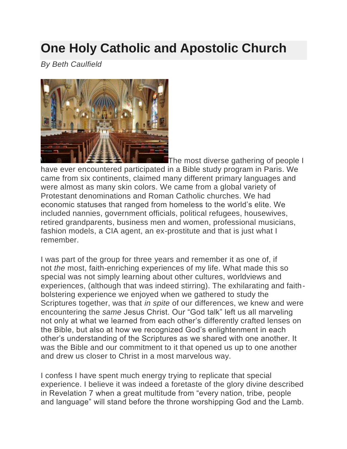## **[One Holy Catholic and Apostolic Church](https://wesleyancovenant.org/2018/03/15/one-holy-catholic-and-apostolic-church/)**

*By Beth Caulfield*



The most diverse gathering of people I

have ever encountered participated in a Bible study program in Paris. We came from six continents, claimed many different primary languages and were almost as many skin colors. We came from a global variety of Protestant denominations and Roman Catholic churches. We had economic statuses that ranged from homeless to the world's elite. We included nannies, government officials, political refugees, housewives, retired grandparents, business men and women, professional musicians, fashion models, a CIA agent, an ex-prostitute and that is just what I remember.

I was part of the group for three years and remember it as one of, if not *the* most, faith-enriching experiences of my life. What made this so special was not simply learning about other cultures, worldviews and experiences, (although that was indeed stirring). The exhilarating and faithbolstering experience we enjoyed when we gathered to study the Scriptures together, was that *in spite* of our differences, we knew and were encountering the *same* Jesus Christ. Our "God talk" left us all marveling not only at what we learned from each other's differently crafted lenses on the Bible, but also at how we recognized God's enlightenment in each other's understanding of the Scriptures as we shared with one another. It was the Bible and our commitment to it that opened us up to one another and drew us closer to Christ in a most marvelous way.

I confess I have spent much energy trying to replicate that special experience. I believe it was indeed a foretaste of the glory divine described in Revelation 7 when a great multitude from "every nation, tribe, people and language" will stand before the throne worshipping God and the Lamb.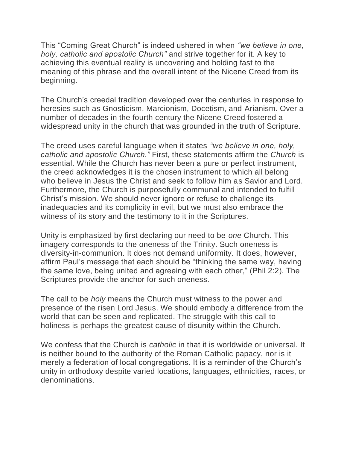This "Coming Great Church" is indeed ushered in when *"we believe in one, holy, catholic and apostolic Church"* and strive together for it. A key to achieving this eventual reality is uncovering and holding fast to the meaning of this phrase and the overall intent of the Nicene Creed from its beginning.

The Church's creedal tradition developed over the centuries in response to heresies such as Gnosticism, Marcionism, Docetism, and Arianism. Over a number of decades in the fourth century the Nicene Creed fostered a widespread unity in the church that was grounded in the truth of Scripture.

The creed uses careful language when it states *"we believe in one, holy, catholic and apostolic Church."* First, these statements affirm the *Church* is essential. While the Church has never been a pure or perfect instrument, the creed acknowledges it is the chosen instrument to which all belong who believe in Jesus the Christ and seek to follow him as Savior and Lord. Furthermore, the Church is purposefully communal and intended to fulfill Christ's mission. We should never ignore or refuse to challenge its inadequacies and its complicity in evil, but we must also embrace the witness of its story and the testimony to it in the Scriptures.

Unity is emphasized by first declaring our need to be *one* Church. This imagery corresponds to the oneness of the Trinity. Such oneness is diversity-in-communion. It does not demand uniformity. It does, however, affirm Paul's message that each should be "thinking the same way, having the same love, being united and agreeing with each other," (Phil 2:2). The Scriptures provide the anchor for such oneness.

The call to be *holy* means the Church must witness to the power and presence of the risen Lord Jesus. We should embody a difference from the world that can be seen and replicated. The struggle with this call to holiness is perhaps the greatest cause of disunity within the Church.

We confess that the Church is *catholic* in that it is worldwid*e* or universal. It is neither bound to the authority of the Roman Catholic papacy, nor is it merely a federation of local congregations. It is a reminder of the Church's unity in orthodoxy despite varied locations, languages, ethnicities, races, or denominations.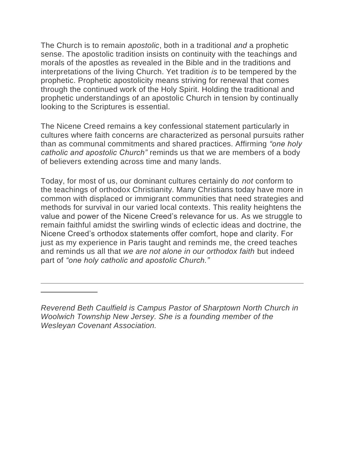The Church is to remain *apostolic*, both in a traditional *and* a prophetic sense. The apostolic tradition insists on continuity with the teachings and morals of the apostles as revealed in the Bible and in the traditions and interpretations of the living Church. Yet tradition *is* to be tempered by the prophetic. Prophetic apostolicity means striving for renewal that comes through the continued work of the Holy Spirit. Holding the traditional and prophetic understandings of an apostolic Church in tension by continually looking to the Scriptures is essential.

The Nicene Creed remains a key confessional statement particularly in cultures where faith concerns are characterized as personal pursuits rather than as communal commitments and shared practices. Affirming *"one holy catholic and apostolic Church"* reminds us that we are members of a body of believers extending across time and many lands.

Today, for most of us, our dominant cultures certainly do *not* conform to the teachings of orthodox Christianity. Many Christians today have more in common with displaced or immigrant communities that need strategies and methods for survival in our varied local contexts. This reality heightens the value and power of the Nicene Creed's relevance for us. As we struggle to remain faithful amidst the swirling winds of eclectic ideas and doctrine, the Nicene Creed's orthodox statements offer comfort, hope and clarity. For just as my experience in Paris taught and reminds me, the creed teaches and reminds us all that *we are not alone in our orthodox faith* but indeed part of *"one holy catholic and apostolic Church."*

 $\overline{a}$  $\overline{a}$ 

*Reverend Beth Caulfield is Campus Pastor of Sharptown North Church in Woolwich Township New Jersey. She is a founding member of the Wesleyan Covenant Association.*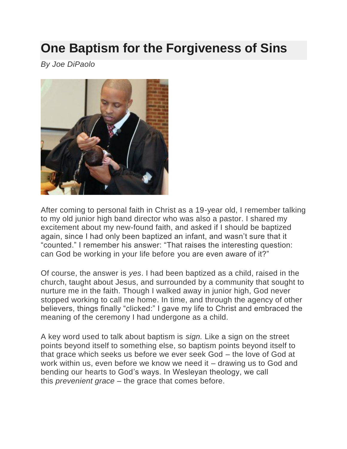# **[One Baptism for the Forgiveness of Sins](https://wesleyancovenant.org/2018/03/22/one-baptism-for-the-forgiveness-of-sins/)**

*By Joe DiPaolo*



After coming to personal faith in Christ as a 19-year old, I remember talking to my old junior high band director who was also a pastor. I shared my excitement about my new-found faith, and asked if I should be baptized again, since I had only been baptized an infant, and wasn't sure that it "counted." I remember his answer: "That raises the interesting question: can God be working in your life before you are even aware of it?"

Of course, the answer is *yes*. I had been baptized as a child, raised in the church, taught about Jesus, and surrounded by a community that sought to nurture me in the faith. Though I walked away in junior high, God never stopped working to call me home. In time, and through the agency of other believers, things finally "clicked:" I gave my life to Christ and embraced the meaning of the ceremony I had undergone as a child.

A key word used to talk about baptism is *sign.* Like a sign on the street points beyond itself to something else, so baptism points beyond itself to that grace which seeks us before we ever seek God – the love of God at work within us, even before we know we need it – drawing us to God and bending our hearts to God's ways. In Wesleyan theology, we call this *prevenient grace* – the grace that comes before.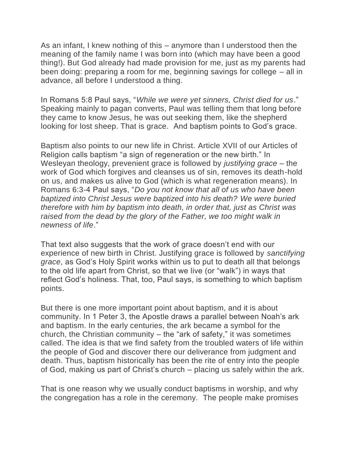As an infant, I knew nothing of this – anymore than I understood then the meaning of the family name I was born into (which may have been a good thing!). But God already had made provision for me, just as my parents had been doing: preparing a room for me, beginning savings for college – all in advance, all before I understood a thing.

In Romans 5:8 Paul says, "*While we were yet sinners, Christ died for us*." Speaking mainly to pagan converts, Paul was telling them that long before they came to know Jesus, he was out seeking them, like the shepherd looking for lost sheep. That is grace. And baptism points to God's grace.

Baptism also points to our new life in Christ. Article XVII of our Articles of Religion calls baptism "a sign of regeneration or the new birth." In Wesleyan theology, prevenient grace is followed by *justifying grace* – the work of God which forgives and cleanses us of sin, removes its death-hold on us, and makes us alive to God (which is what regeneration means). In Romans 6:3-4 Paul says, "*Do you not know that all of us who have been baptized into Christ Jesus were baptized into his death? We were buried therefore with him by baptism into death, in order that, just as Christ was raised from the dead by the glory of the Father, we too might walk in newness of life*."

That text also suggests that the work of grace doesn't end with our experience of new birth in Christ. Justifying grace is followed by *sanctifying grace*, as God's Holy Spirit works within us to put to death all that belongs to the old life apart from Christ, so that we live (or "walk") in ways that reflect God's holiness. That, too, Paul says, is something to which baptism points.

But there is one more important point about baptism, and it is about community. In 1 Peter 3, the Apostle draws a parallel between Noah's ark and baptism. In the early centuries, the ark became a symbol for the church, the Christian community  $-$  the "ark of safety," it was sometimes called. The idea is that we find safety from the troubled waters of life within the people of God and discover there our deliverance from judgment and death. Thus, baptism historically has been the rite of entry into the people of God, making us part of Christ's church – placing us safely within the ark.

That is one reason why we usually conduct baptisms in worship, and why the congregation has a role in the ceremony. The people make promises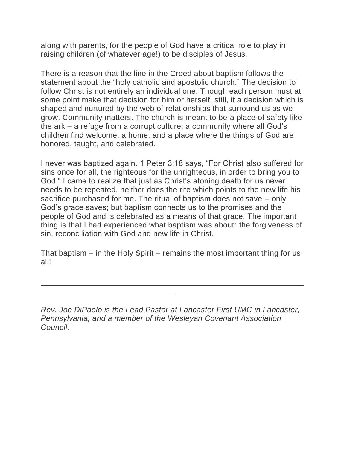along with parents, for the people of God have a critical role to play in raising children (of whatever age!) to be disciples of Jesus.

There is a reason that the line in the Creed about baptism follows the statement about the "holy catholic and apostolic church." The decision to follow Christ is not entirely an individual one. Though each person must at some point make that decision for him or herself, still, it a decision which is shaped and nurtured by the web of relationships that surround us as we grow. Community matters. The church is meant to be a place of safety like the ark – a refuge from a corrupt culture; a community where all God's children find welcome, a home, and a place where the things of God are honored, taught, and celebrated.

I never was baptized again. 1 Peter 3:18 says, "For Christ also suffered for sins once for all, the righteous for the unrighteous, in order to bring you to God." I came to realize that just as Christ's atoning death for us never needs to be repeated, neither does the rite which points to the new life his sacrifice purchased for me. The ritual of baptism does not save – only God's grace saves; but baptism connects us to the promises and the people of God and is celebrated as a means of that grace. The important thing is that I had experienced what baptism was about: the forgiveness of sin, reconciliation with God and new life in Christ.

That baptism – in the Holy Spirit – remains the most important thing for us all!

 $\overline{a}$  $\overline{a}$ 

*Rev. Joe DiPaolo is the Lead Pastor at Lancaster First UMC in Lancaster, Pennsylvania, and a member of the Wesleyan Covenant Association Council.*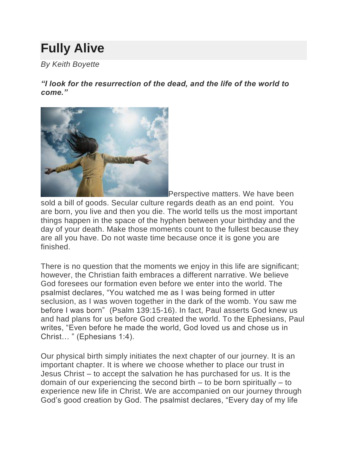# **[Fully Alive](https://wesleyancovenant.org/2018/03/28/fully-alive/)**

*By Keith Boyette*

*"I look for the resurrection of the dead, and the life of the world to come."*



Perspective matters. We have been

sold a bill of goods. Secular culture regards death as an end point. You are born, you live and then you die. The world tells us the most important things happen in the space of the hyphen between your birthday and the day of your death. Make those moments count to the fullest because they are all you have. Do not waste time because once it is gone you are finished.

There is no question that the moments we enjoy in this life are significant; however, the Christian faith embraces a different narrative. We believe God foresees our formation even before we enter into the world. The psalmist declares, "You watched me as I was being formed in utter seclusion, as I was woven together in the dark of the womb. You saw me before I was born" (Psalm 139:15-16). In fact, Paul asserts God knew us and had plans for us before God created the world. To the Ephesians, Paul writes, "Even before he made the world, God loved us and chose us in Christ… " (Ephesians 1:4).

Our physical birth simply initiates the next chapter of our journey. It is an important chapter. It is where we choose whether to place our trust in Jesus Christ – to accept the salvation he has purchased for us. It is the domain of our experiencing the second birth – to be born spiritually – to experience new life in Christ. We are accompanied on our journey through God's good creation by God. The psalmist declares, "Every day of my life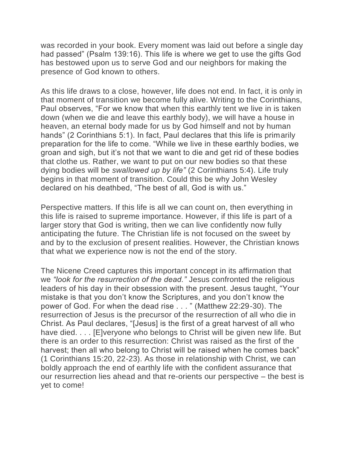was recorded in your book. Every moment was laid out before a single day had passed" (Psalm 139:16). This life is where we get to use the gifts God has bestowed upon us to serve God and our neighbors for making the presence of God known to others.

As this life draws to a close, however, life does not end. In fact, it is only in that moment of transition we become fully alive. Writing to the Corinthians, Paul observes, "For we know that when this earthly tent we live in is taken down (when we die and leave this earthly body), we will have a house in heaven, an eternal body made for us by God himself and not by human hands" (2 Corinthians 5:1). In fact, Paul declares that this life is primarily preparation for the life to come. "While we live in these earthly bodies, we groan and sigh, but it's not that we want to die and get rid of these bodies that clothe us. Rather, we want to put on our new bodies so that these dying bodies will be *swallowed up by life"* (2 Corinthians 5:4). Life truly begins in that moment of transition. Could this be why John Wesley declared on his deathbed, "The best of all, God is with us."

Perspective matters. If this life is all we can count on, then everything in this life is raised to supreme importance. However, if this life is part of a larger story that God is writing, then we can live confidently now fully anticipating the future. The Christian life is not focused on the sweet by and by to the exclusion of present realities. However, the Christian knows that what we experience now is not the end of the story.

The Nicene Creed captures this important concept in its affirmation that we *"look for the resurrection of the dead."* Jesus confronted the religious leaders of his day in their obsession with the present. Jesus taught, "Your mistake is that you don't know the Scriptures, and you don't know the power of God. For when the dead rise . . . " (Matthew 22:29-30). The resurrection of Jesus is the precursor of the resurrection of all who die in Christ. As Paul declares, "[Jesus] is the first of a great harvest of all who have died. . . . [E]veryone who belongs to Christ will be given new life. But there is an order to this resurrection: Christ was raised as the first of the harvest; then all who belong to Christ will be raised when he comes back" (1 Corinthians 15:20, 22-23). As those in relationship with Christ, we can boldly approach the end of earthly life with the confident assurance that our resurrection lies ahead and that re-orients our perspective – the best is yet to come!